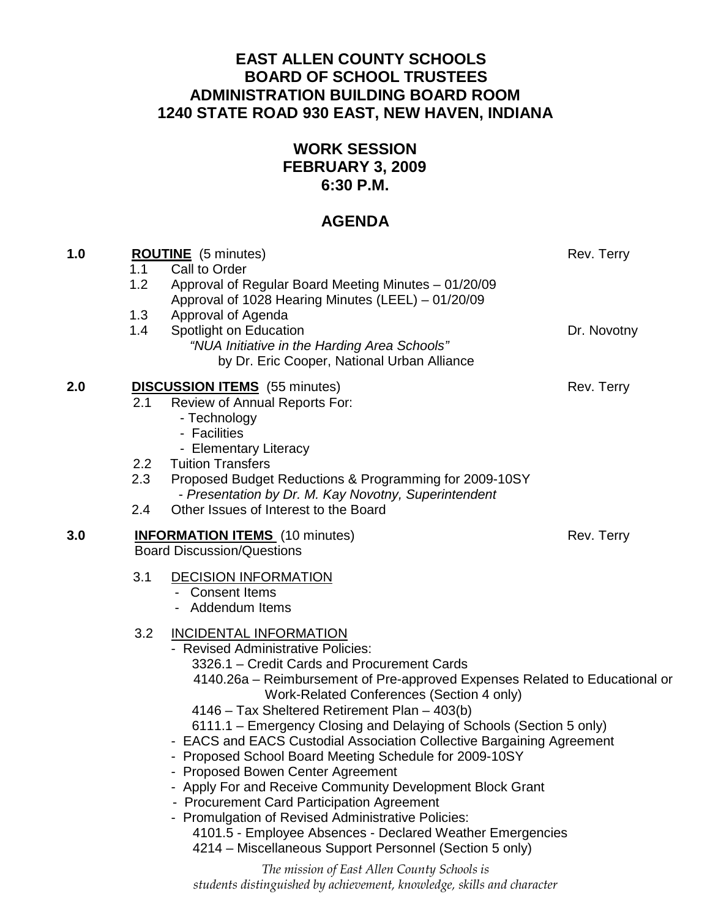# **EAST ALLEN COUNTY SCHOOLS BOARD OF SCHOOL TRUSTEES ADMINISTRATION BUILDING BOARD ROOM 1240 STATE ROAD 930 EAST, NEW HAVEN, INDIANA**

# **WORK SESSION FEBRUARY 3, 2009 6:30 P.M.**

# **AGENDA**

| 1.0 | 1.1<br>1.2                                                                               | <b>ROUTINE</b> (5 minutes)<br>Call to Order<br>Approval of Regular Board Meeting Minutes - 01/20/09<br>Approval of 1028 Hearing Minutes (LEEL) - 01/20/09                                                                                                                                                                                                                                                                                                                                                                                                                                                                                                                                                                                                                                                                               | Rev. Terry  |
|-----|------------------------------------------------------------------------------------------|-----------------------------------------------------------------------------------------------------------------------------------------------------------------------------------------------------------------------------------------------------------------------------------------------------------------------------------------------------------------------------------------------------------------------------------------------------------------------------------------------------------------------------------------------------------------------------------------------------------------------------------------------------------------------------------------------------------------------------------------------------------------------------------------------------------------------------------------|-------------|
|     | 1.3<br>1.4                                                                               | Approval of Agenda<br>Spotlight on Education<br>"NUA Initiative in the Harding Area Schools"<br>by Dr. Eric Cooper, National Urban Alliance                                                                                                                                                                                                                                                                                                                                                                                                                                                                                                                                                                                                                                                                                             | Dr. Novotny |
| 2.0 | 2.1                                                                                      | <b>DISCUSSION ITEMS</b> (55 minutes)<br>Review of Annual Reports For:<br>- Technology<br>- Facilities<br>- Elementary Literacy                                                                                                                                                                                                                                                                                                                                                                                                                                                                                                                                                                                                                                                                                                          | Rev. Terry  |
|     | $2.2\overline{ }$<br>2.3                                                                 | <b>Tuition Transfers</b><br>Proposed Budget Reductions & Programming for 2009-10SY                                                                                                                                                                                                                                                                                                                                                                                                                                                                                                                                                                                                                                                                                                                                                      |             |
|     | 2.4                                                                                      | - Presentation by Dr. M. Kay Novotny, Superintendent<br>Other Issues of Interest to the Board                                                                                                                                                                                                                                                                                                                                                                                                                                                                                                                                                                                                                                                                                                                                           |             |
| 3.0 | Rev. Terry<br><b>INFORMATION ITEMS</b> (10 minutes)<br><b>Board Discussion/Questions</b> |                                                                                                                                                                                                                                                                                                                                                                                                                                                                                                                                                                                                                                                                                                                                                                                                                                         |             |
|     | 3.1                                                                                      | <b>DECISION INFORMATION</b><br>- Consent Items<br>- Addendum Items                                                                                                                                                                                                                                                                                                                                                                                                                                                                                                                                                                                                                                                                                                                                                                      |             |
|     | 3.2                                                                                      | <b>INCIDENTAL INFORMATION</b><br>- Revised Administrative Policies:<br>3326.1 - Credit Cards and Procurement Cards<br>4140.26a – Reimbursement of Pre-approved Expenses Related to Educational or<br>Work-Related Conferences (Section 4 only)<br>4146 – Tax Sheltered Retirement Plan – 403(b)<br>6111.1 – Emergency Closing and Delaying of Schools (Section 5 only)<br>- EACS and EACS Custodial Association Collective Bargaining Agreement<br>- Proposed School Board Meeting Schedule for 2009-10SY<br>- Proposed Bowen Center Agreement<br>- Apply For and Receive Community Development Block Grant<br>- Procurement Card Participation Agreement<br>- Promulgation of Revised Administrative Policies:<br>4101.5 - Employee Absences - Declared Weather Emergencies<br>4214 – Miscellaneous Support Personnel (Section 5 only) |             |

The mission of East Allen County Schools is students distinguished by achievement, knowledge, skills and character